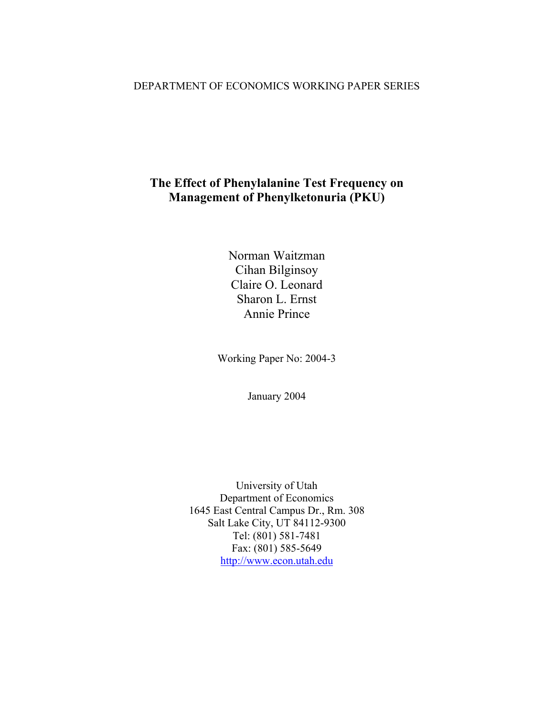## DEPARTMENT OF ECONOMICS WORKING PAPER SERIES

# **The Effect of Phenylalanine Test Frequency on Management of Phenylketonuria (PKU)**

Norman Waitzman Cihan Bilginsoy Claire O. Leonard Sharon L. Ernst Annie Prince

Working Paper No: 2004-3

January 2004

University of Utah Department of Economics 1645 East Central Campus Dr., Rm. 308 Salt Lake City, UT 84112-9300 Tel: (801) 581-7481 Fax: (801) 585-5649 [http://www.econ.utah.edu](http://www.econ.utah.edu/)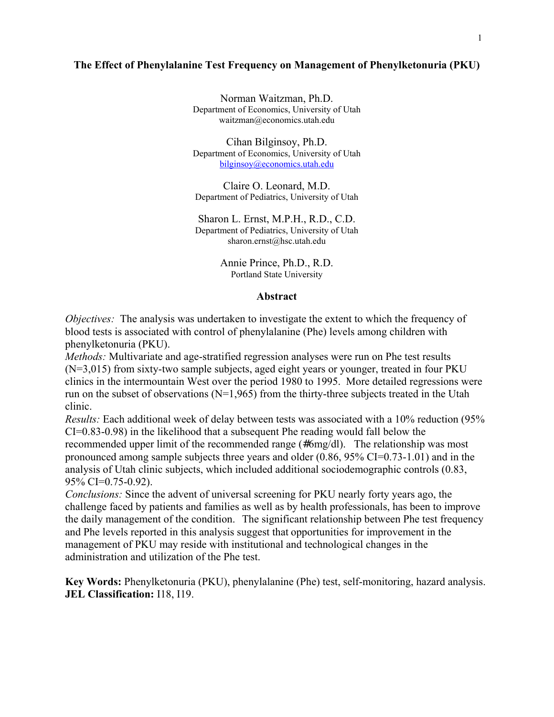## **The Effect of Phenylalanine Test Frequency on Management of Phenylketonuria (PKU)**

Norman Waitzman, Ph.D. Department of Economics, University of Utah waitzman@economics.utah.edu

Cihan Bilginsoy, Ph.D. Department of Economics, University of Utah [bilginsoy@economics.utah.edu](mailto:bilginsoy@economics.utah.edu)

Claire O. Leonard, M.D. Department of Pediatrics, University of Utah

Sharon L. Ernst, M.P.H., R.D., C.D. Department of Pediatrics, University of Utah sharon.ernst@hsc.utah.edu

> Annie Prince, Ph.D., R.D. Portland State University

#### **Abstract**

*Objectives:* The analysis was undertaken to investigate the extent to which the frequency of blood tests is associated with control of phenylalanine (Phe) levels among children with phenylketonuria (PKU).

*Methods:* Multivariate and age-stratified regression analyses were run on Phe test results (N=3,015) from sixty-two sample subjects, aged eight years or younger, treated in four PKU clinics in the intermountain West over the period 1980 to 1995. More detailed regressions were run on the subset of observations ( $N=1,965$ ) from the thirty-three subjects treated in the Utah clinic.

*Results:* Each additional week of delay between tests was associated with a 10% reduction (95% CI=0.83-0.98) in the likelihood that a subsequent Phe reading would fall below the recommended upper limit of the recommended range (#6mg/dl). The relationship was most pronounced among sample subjects three years and older (0.86, 95% CI=0.73-1.01) and in the analysis of Utah clinic subjects, which included additional sociodemographic controls (0.83, 95% CI=0.75-0.92).

*Conclusions:* Since the advent of universal screening for PKU nearly forty years ago, the challenge faced by patients and families as well as by health professionals, has been to improve the daily management of the condition. The significant relationship between Phe test frequency and Phe levels reported in this analysis suggest that opportunities for improvement in the management of PKU may reside with institutional and technological changes in the administration and utilization of the Phe test.

**Key Words:** Phenylketonuria (PKU), phenylalanine (Phe) test, self-monitoring, hazard analysis. **JEL Classification:** I18, I19.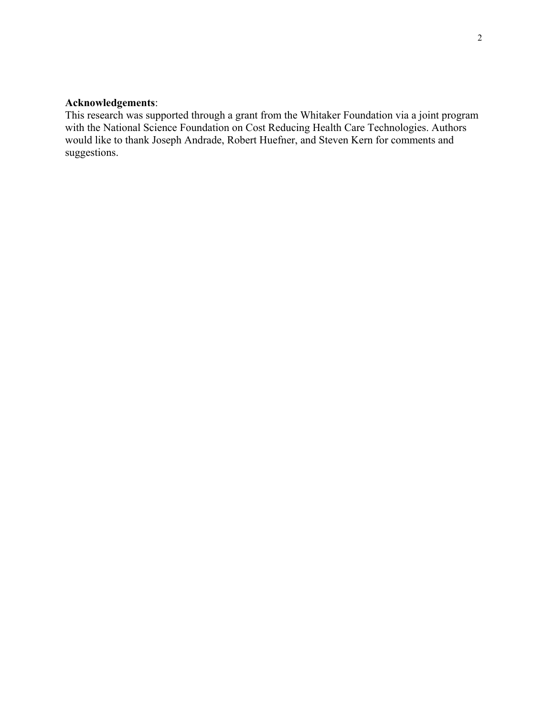## **Acknowledgements**:

This research was supported through a grant from the Whitaker Foundation via a joint program with the National Science Foundation on Cost Reducing Health Care Technologies. Authors would like to thank Joseph Andrade, Robert Huefner, and Steven Kern for comments and suggestions.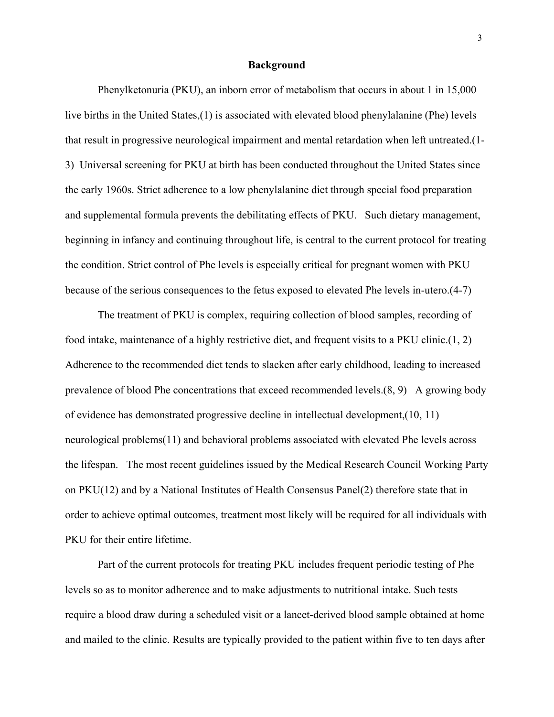#### **Background**

 Phenylketonuria (PKU), an inborn error of metabolism that occurs in about 1 in 15,000 live births in the United States,(1) is associated with elevated blood phenylalanine (Phe) levels that result in progressive neurological impairment and mental retardation when left untreated.(1- 3) Universal screening for PKU at birth has been conducted throughout the United States since the early 1960s. Strict adherence to a low phenylalanine diet through special food preparation and supplemental formula prevents the debilitating effects of PKU. Such dietary management, beginning in infancy and continuing throughout life, is central to the current protocol for treating the condition. Strict control of Phe levels is especially critical for pregnant women with PKU because of the serious consequences to the fetus exposed to elevated Phe levels in-utero.(4-7)

 The treatment of PKU is complex, requiring collection of blood samples, recording of food intake, maintenance of a highly restrictive diet, and frequent visits to a PKU clinic.(1, 2) Adherence to the recommended diet tends to slacken after early childhood, leading to increased prevalence of blood Phe concentrations that exceed recommended levels.(8, 9) A growing body of evidence has demonstrated progressive decline in intellectual development,(10, 11) neurological problems(11) and behavioral problems associated with elevated Phe levels across the lifespan. The most recent guidelines issued by the Medical Research Council Working Party on PKU(12) and by a National Institutes of Health Consensus Panel(2) therefore state that in order to achieve optimal outcomes, treatment most likely will be required for all individuals with PKU for their entire lifetime.

Part of the current protocols for treating PKU includes frequent periodic testing of Phe levels so as to monitor adherence and to make adjustments to nutritional intake. Such tests require a blood draw during a scheduled visit or a lancet-derived blood sample obtained at home and mailed to the clinic. Results are typically provided to the patient within five to ten days after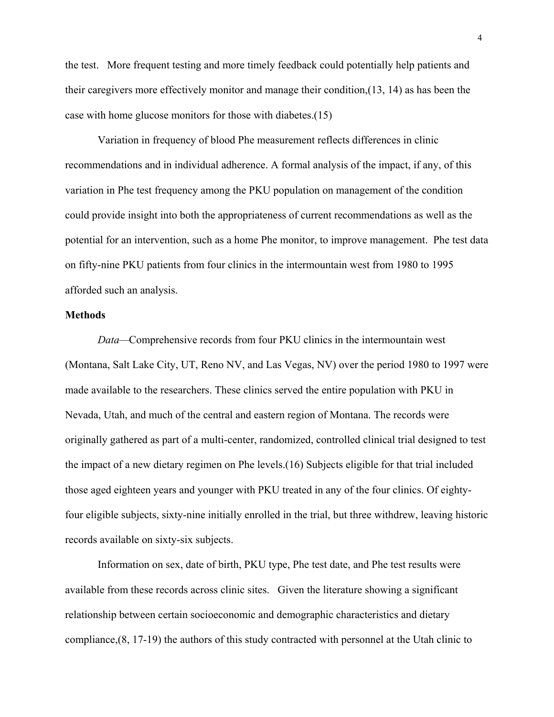the test. More frequent testing and more timely feedback could potentially help patients and their caregivers more effectively monitor and manage their condition,(13, 14) as has been the case with home glucose monitors for those with diabetes.(15)

Variation in frequency of blood Phe measurement reflects differences in clinic recommendations and in individual adherence. A formal analysis of the impact, if any, of this variation in Phe test frequency among the PKU population on management of the condition could provide insight into both the appropriateness of current recommendations as well as the potential for an intervention, such as a home Phe monitor, to improve management. Phe test data on fifty-nine PKU patients from four clinics in the intermountain west from 1980 to 1995 afforded such an analysis.

## **Methods**

*Data—*Comprehensive records from four PKU clinics in the intermountain west (Montana, Salt Lake City, UT, Reno NV, and Las Vegas, NV) over the period 1980 to 1997 were made available to the researchers. These clinics served the entire population with PKU in Nevada, Utah, and much of the central and eastern region of Montana. The records were originally gathered as part of a multi-center, randomized, controlled clinical trial designed to test the impact of a new dietary regimen on Phe levels.(16) Subjects eligible for that trial included those aged eighteen years and younger with PKU treated in any of the four clinics. Of eightyfour eligible subjects, sixty-nine initially enrolled in the trial, but three withdrew, leaving historic records available on sixty-six subjects.

Information on sex, date of birth, PKU type, Phe test date, and Phe test results were available from these records across clinic sites. Given the literature showing a significant relationship between certain socioeconomic and demographic characteristics and dietary compliance,(8, 17-19) the authors of this study contracted with personnel at the Utah clinic to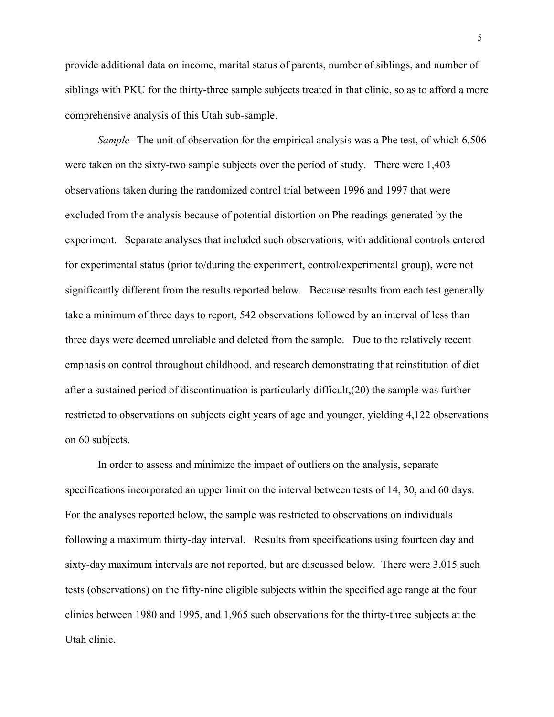provide additional data on income, marital status of parents, number of siblings, and number of siblings with PKU for the thirty-three sample subjects treated in that clinic, so as to afford a more comprehensive analysis of this Utah sub-sample.

*Sample--*The unit of observation for the empirical analysis was a Phe test, of which 6,506 were taken on the sixty-two sample subjects over the period of study. There were 1,403 observations taken during the randomized control trial between 1996 and 1997 that were excluded from the analysis because of potential distortion on Phe readings generated by the experiment. Separate analyses that included such observations, with additional controls entered for experimental status (prior to/during the experiment, control/experimental group), were not significantly different from the results reported below. Because results from each test generally take a minimum of three days to report, 542 observations followed by an interval of less than three days were deemed unreliable and deleted from the sample. Due to the relatively recent emphasis on control throughout childhood, and research demonstrating that reinstitution of diet after a sustained period of discontinuation is particularly difficult,(20) the sample was further restricted to observations on subjects eight years of age and younger, yielding 4,122 observations on 60 subjects.

In order to assess and minimize the impact of outliers on the analysis, separate specifications incorporated an upper limit on the interval between tests of 14, 30, and 60 days. For the analyses reported below, the sample was restricted to observations on individuals following a maximum thirty-day interval. Results from specifications using fourteen day and sixty-day maximum intervals are not reported, but are discussed below. There were 3,015 such tests (observations) on the fifty-nine eligible subjects within the specified age range at the four clinics between 1980 and 1995, and 1,965 such observations for the thirty-three subjects at the Utah clinic.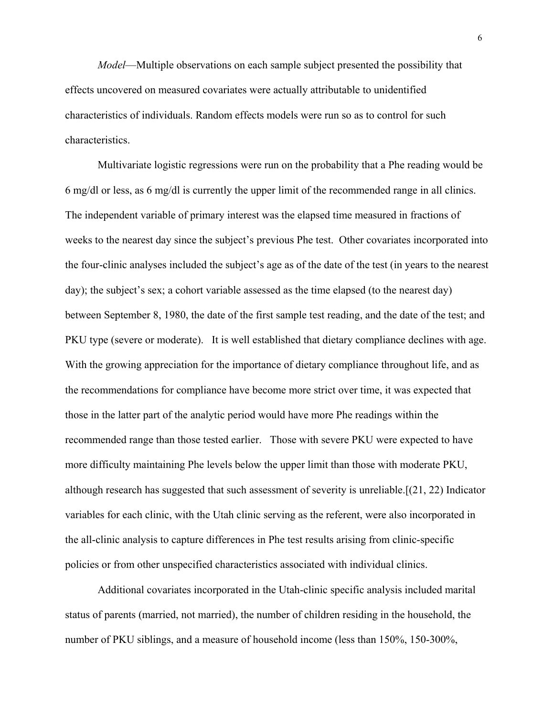*Model*—Multiple observations on each sample subject presented the possibility that effects uncovered on measured covariates were actually attributable to unidentified characteristics of individuals. Random effects models were run so as to control for such characteristics.

Multivariate logistic regressions were run on the probability that a Phe reading would be 6 mg/dl or less, as 6 mg/dl is currently the upper limit of the recommended range in all clinics. The independent variable of primary interest was the elapsed time measured in fractions of weeks to the nearest day since the subject's previous Phe test. Other covariates incorporated into the four-clinic analyses included the subject's age as of the date of the test (in years to the nearest day); the subject's sex; a cohort variable assessed as the time elapsed (to the nearest day) between September 8, 1980, the date of the first sample test reading, and the date of the test; and PKU type (severe or moderate). It is well established that dietary compliance declines with age. With the growing appreciation for the importance of dietary compliance throughout life, and as the recommendations for compliance have become more strict over time, it was expected that those in the latter part of the analytic period would have more Phe readings within the recommended range than those tested earlier. Those with severe PKU were expected to have more difficulty maintaining Phe levels below the upper limit than those with moderate PKU, although research has suggested that such assessment of severity is unreliable.[(21, 22) Indicator variables for each clinic, with the Utah clinic serving as the referent, were also incorporated in the all-clinic analysis to capture differences in Phe test results arising from clinic-specific policies or from other unspecified characteristics associated with individual clinics.

 Additional covariates incorporated in the Utah-clinic specific analysis included marital status of parents (married, not married), the number of children residing in the household, the number of PKU siblings, and a measure of household income (less than 150%, 150-300%,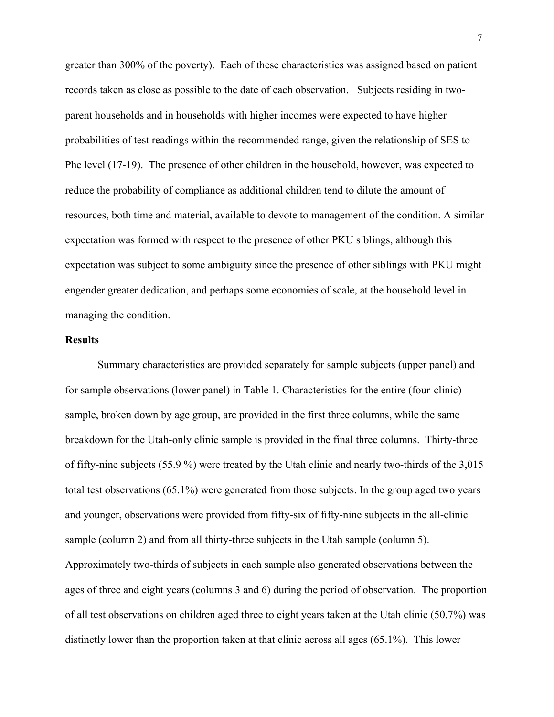greater than 300% of the poverty). Each of these characteristics was assigned based on patient records taken as close as possible to the date of each observation. Subjects residing in twoparent households and in households with higher incomes were expected to have higher probabilities of test readings within the recommended range, given the relationship of SES to Phe level (17-19). The presence of other children in the household, however, was expected to reduce the probability of compliance as additional children tend to dilute the amount of resources, both time and material, available to devote to management of the condition. A similar expectation was formed with respect to the presence of other PKU siblings, although this expectation was subject to some ambiguity since the presence of other siblings with PKU might engender greater dedication, and perhaps some economies of scale, at the household level in managing the condition.

## **Results**

Summary characteristics are provided separately for sample subjects (upper panel) and for sample observations (lower panel) in Table 1. Characteristics for the entire (four-clinic) sample, broken down by age group, are provided in the first three columns, while the same breakdown for the Utah-only clinic sample is provided in the final three columns. Thirty-three of fifty-nine subjects (55.9 %) were treated by the Utah clinic and nearly two-thirds of the 3,015 total test observations (65.1%) were generated from those subjects. In the group aged two years and younger, observations were provided from fifty-six of fifty-nine subjects in the all-clinic sample (column 2) and from all thirty-three subjects in the Utah sample (column 5). Approximately two-thirds of subjects in each sample also generated observations between the ages of three and eight years (columns 3 and 6) during the period of observation. The proportion of all test observations on children aged three to eight years taken at the Utah clinic (50.7%) was distinctly lower than the proportion taken at that clinic across all ages (65.1%). This lower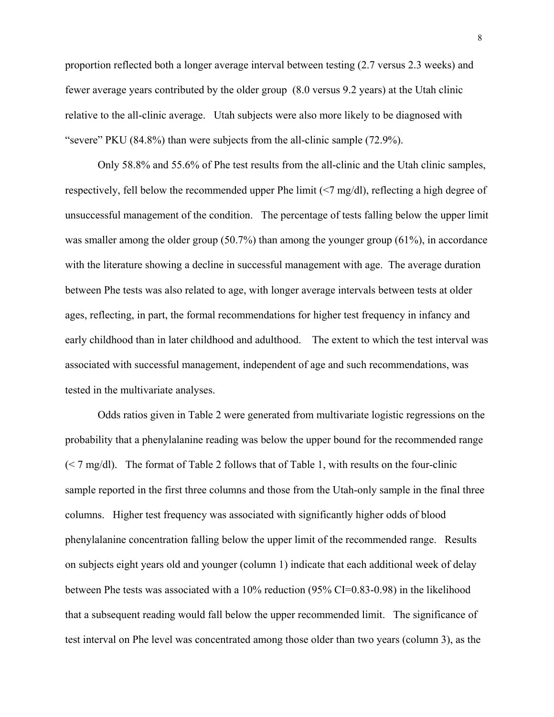proportion reflected both a longer average interval between testing (2.7 versus 2.3 weeks) and fewer average years contributed by the older group (8.0 versus 9.2 years) at the Utah clinic relative to the all-clinic average. Utah subjects were also more likely to be diagnosed with "severe" PKU (84.8%) than were subjects from the all-clinic sample (72.9%).

Only 58.8% and 55.6% of Phe test results from the all-clinic and the Utah clinic samples, respectively, fell below the recommended upper Phe limit (<7 mg/dl), reflecting a high degree of unsuccessful management of the condition. The percentage of tests falling below the upper limit was smaller among the older group (50.7%) than among the younger group (61%), in accordance with the literature showing a decline in successful management with age. The average duration between Phe tests was also related to age, with longer average intervals between tests at older ages, reflecting, in part, the formal recommendations for higher test frequency in infancy and early childhood than in later childhood and adulthood. The extent to which the test interval was associated with successful management, independent of age and such recommendations, was tested in the multivariate analyses.

Odds ratios given in Table 2 were generated from multivariate logistic regressions on the probability that a phenylalanine reading was below the upper bound for the recommended range  $\approx$  7 mg/dl). The format of Table 2 follows that of Table 1, with results on the four-clinic sample reported in the first three columns and those from the Utah-only sample in the final three columns. Higher test frequency was associated with significantly higher odds of blood phenylalanine concentration falling below the upper limit of the recommended range. Results on subjects eight years old and younger (column 1) indicate that each additional week of delay between Phe tests was associated with a 10% reduction (95% CI=0.83-0.98) in the likelihood that a subsequent reading would fall below the upper recommended limit. The significance of test interval on Phe level was concentrated among those older than two years (column 3), as the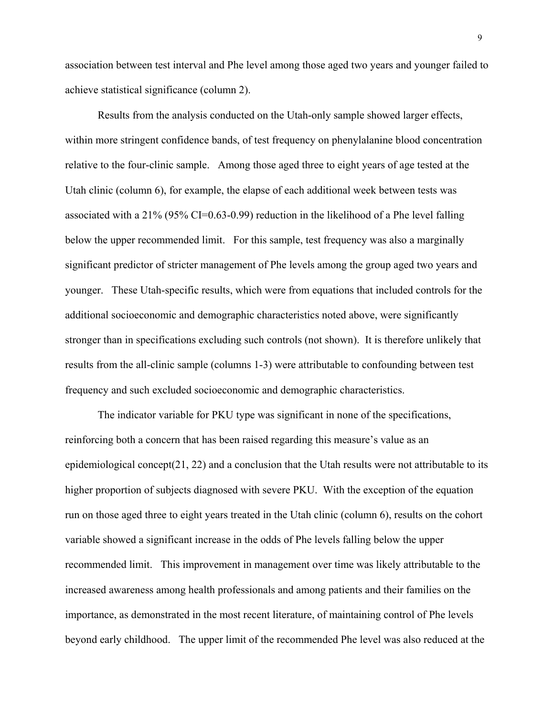association between test interval and Phe level among those aged two years and younger failed to achieve statistical significance (column 2).

 Results from the analysis conducted on the Utah-only sample showed larger effects, within more stringent confidence bands, of test frequency on phenylalanine blood concentration relative to the four-clinic sample. Among those aged three to eight years of age tested at the Utah clinic (column 6), for example, the elapse of each additional week between tests was associated with a 21% (95% CI=0.63-0.99) reduction in the likelihood of a Phe level falling below the upper recommended limit. For this sample, test frequency was also a marginally significant predictor of stricter management of Phe levels among the group aged two years and younger. These Utah-specific results, which were from equations that included controls for the additional socioeconomic and demographic characteristics noted above, were significantly stronger than in specifications excluding such controls (not shown). It is therefore unlikely that results from the all-clinic sample (columns 1-3) were attributable to confounding between test frequency and such excluded socioeconomic and demographic characteristics.

The indicator variable for PKU type was significant in none of the specifications, reinforcing both a concern that has been raised regarding this measure's value as an epidemiological concept(21, 22) and a conclusion that the Utah results were not attributable to its higher proportion of subjects diagnosed with severe PKU. With the exception of the equation run on those aged three to eight years treated in the Utah clinic (column 6), results on the cohort variable showed a significant increase in the odds of Phe levels falling below the upper recommended limit. This improvement in management over time was likely attributable to the increased awareness among health professionals and among patients and their families on the importance, as demonstrated in the most recent literature, of maintaining control of Phe levels beyond early childhood. The upper limit of the recommended Phe level was also reduced at the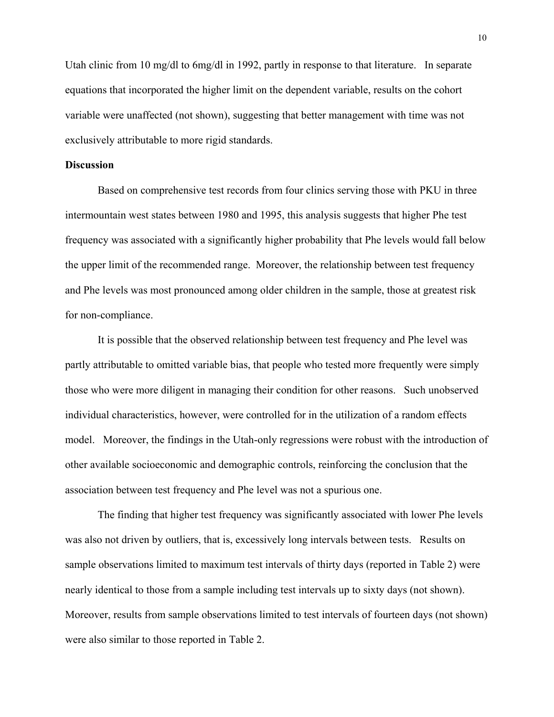Utah clinic from 10 mg/dl to 6mg/dl in 1992, partly in response to that literature. In separate equations that incorporated the higher limit on the dependent variable, results on the cohort variable were unaffected (not shown), suggesting that better management with time was not exclusively attributable to more rigid standards.

## **Discussion**

Based on comprehensive test records from four clinics serving those with PKU in three intermountain west states between 1980 and 1995, this analysis suggests that higher Phe test frequency was associated with a significantly higher probability that Phe levels would fall below the upper limit of the recommended range. Moreover, the relationship between test frequency and Phe levels was most pronounced among older children in the sample, those at greatest risk for non-compliance.

 It is possible that the observed relationship between test frequency and Phe level was partly attributable to omitted variable bias, that people who tested more frequently were simply those who were more diligent in managing their condition for other reasons. Such unobserved individual characteristics, however, were controlled for in the utilization of a random effects model. Moreover, the findings in the Utah-only regressions were robust with the introduction of other available socioeconomic and demographic controls, reinforcing the conclusion that the association between test frequency and Phe level was not a spurious one.

The finding that higher test frequency was significantly associated with lower Phe levels was also not driven by outliers, that is, excessively long intervals between tests. Results on sample observations limited to maximum test intervals of thirty days (reported in Table 2) were nearly identical to those from a sample including test intervals up to sixty days (not shown). Moreover, results from sample observations limited to test intervals of fourteen days (not shown) were also similar to those reported in Table 2.

10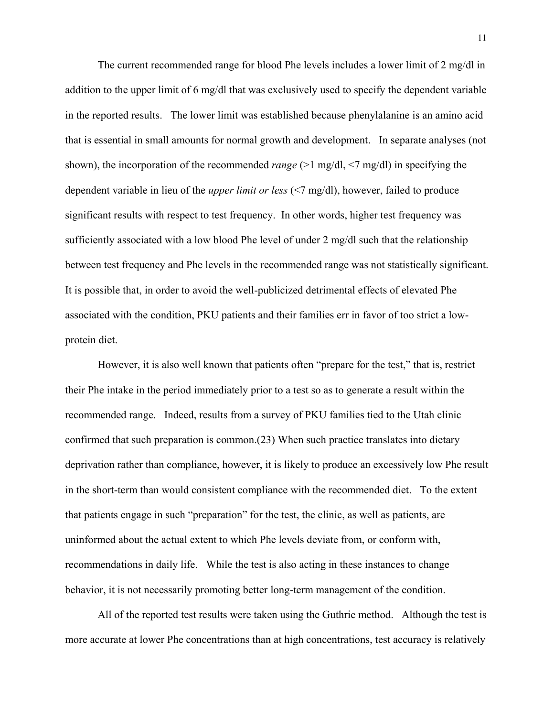The current recommended range for blood Phe levels includes a lower limit of 2 mg/dl in addition to the upper limit of 6 mg/dl that was exclusively used to specify the dependent variable in the reported results. The lower limit was established because phenylalanine is an amino acid that is essential in small amounts for normal growth and development. In separate analyses (not shown), the incorporation of the recommended *range* (>1 mg/dl, <7 mg/dl) in specifying the dependent variable in lieu of the *upper limit or less* (<7 mg/dl), however, failed to produce significant results with respect to test frequency. In other words, higher test frequency was sufficiently associated with a low blood Phe level of under 2 mg/dl such that the relationship between test frequency and Phe levels in the recommended range was not statistically significant. It is possible that, in order to avoid the well-publicized detrimental effects of elevated Phe associated with the condition, PKU patients and their families err in favor of too strict a lowprotein diet.

However, it is also well known that patients often "prepare for the test," that is, restrict their Phe intake in the period immediately prior to a test so as to generate a result within the recommended range. Indeed, results from a survey of PKU families tied to the Utah clinic confirmed that such preparation is common.(23) When such practice translates into dietary deprivation rather than compliance, however, it is likely to produce an excessively low Phe result in the short-term than would consistent compliance with the recommended diet. To the extent that patients engage in such "preparation" for the test, the clinic, as well as patients, are uninformed about the actual extent to which Phe levels deviate from, or conform with, recommendations in daily life. While the test is also acting in these instances to change behavior, it is not necessarily promoting better long-term management of the condition.

All of the reported test results were taken using the Guthrie method. Although the test is more accurate at lower Phe concentrations than at high concentrations, test accuracy is relatively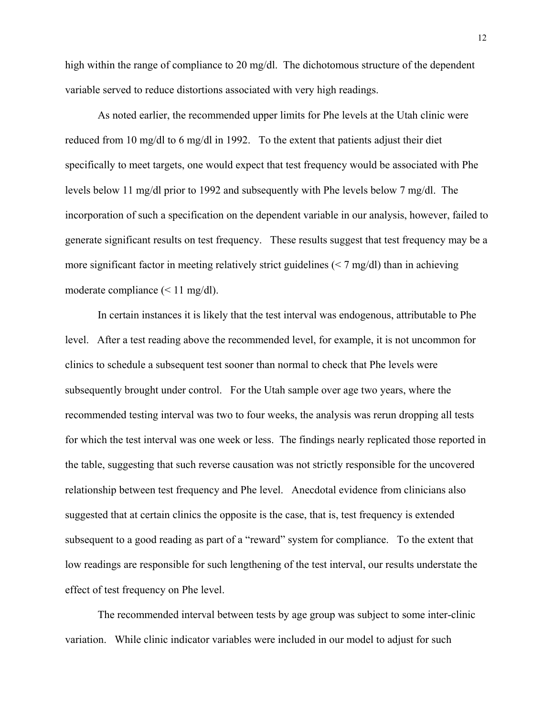high within the range of compliance to 20 mg/dl. The dichotomous structure of the dependent variable served to reduce distortions associated with very high readings.

 As noted earlier, the recommended upper limits for Phe levels at the Utah clinic were reduced from 10 mg/dl to 6 mg/dl in 1992. To the extent that patients adjust their diet specifically to meet targets, one would expect that test frequency would be associated with Phe levels below 11 mg/dl prior to 1992 and subsequently with Phe levels below 7 mg/dl. The incorporation of such a specification on the dependent variable in our analysis, however, failed to generate significant results on test frequency. These results suggest that test frequency may be a more significant factor in meeting relatively strict guidelines ( $\leq 7$  mg/dl) than in achieving moderate compliance (< 11 mg/dl).

In certain instances it is likely that the test interval was endogenous, attributable to Phe level. After a test reading above the recommended level, for example, it is not uncommon for clinics to schedule a subsequent test sooner than normal to check that Phe levels were subsequently brought under control. For the Utah sample over age two years, where the recommended testing interval was two to four weeks, the analysis was rerun dropping all tests for which the test interval was one week or less. The findings nearly replicated those reported in the table, suggesting that such reverse causation was not strictly responsible for the uncovered relationship between test frequency and Phe level. Anecdotal evidence from clinicians also suggested that at certain clinics the opposite is the case, that is, test frequency is extended subsequent to a good reading as part of a "reward" system for compliance. To the extent that low readings are responsible for such lengthening of the test interval, our results understate the effect of test frequency on Phe level.

The recommended interval between tests by age group was subject to some inter-clinic variation. While clinic indicator variables were included in our model to adjust for such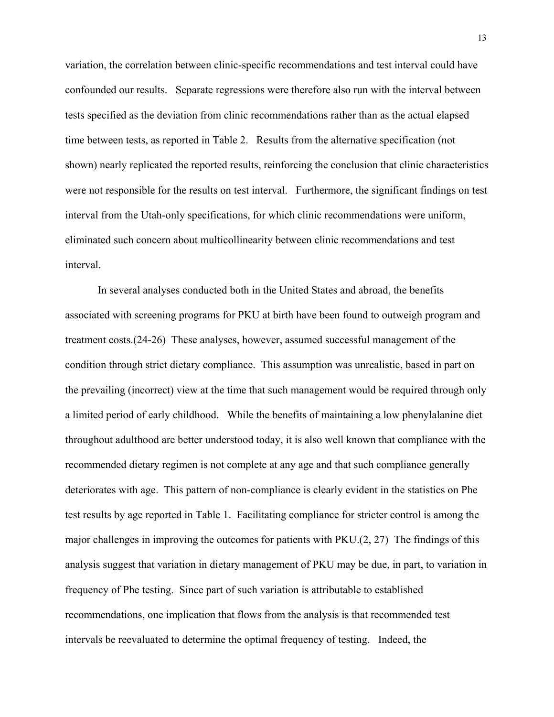variation, the correlation between clinic-specific recommendations and test interval could have confounded our results. Separate regressions were therefore also run with the interval between tests specified as the deviation from clinic recommendations rather than as the actual elapsed time between tests, as reported in Table 2. Results from the alternative specification (not shown) nearly replicated the reported results, reinforcing the conclusion that clinic characteristics were not responsible for the results on test interval. Furthermore, the significant findings on test interval from the Utah-only specifications, for which clinic recommendations were uniform, eliminated such concern about multicollinearity between clinic recommendations and test interval.

In several analyses conducted both in the United States and abroad, the benefits associated with screening programs for PKU at birth have been found to outweigh program and treatment costs.(24-26) These analyses, however, assumed successful management of the condition through strict dietary compliance. This assumption was unrealistic, based in part on the prevailing (incorrect) view at the time that such management would be required through only a limited period of early childhood. While the benefits of maintaining a low phenylalanine diet throughout adulthood are better understood today, it is also well known that compliance with the recommended dietary regimen is not complete at any age and that such compliance generally deteriorates with age. This pattern of non-compliance is clearly evident in the statistics on Phe test results by age reported in Table 1. Facilitating compliance for stricter control is among the major challenges in improving the outcomes for patients with PKU.(2, 27) The findings of this analysis suggest that variation in dietary management of PKU may be due, in part, to variation in frequency of Phe testing. Since part of such variation is attributable to established recommendations, one implication that flows from the analysis is that recommended test intervals be reevaluated to determine the optimal frequency of testing. Indeed, the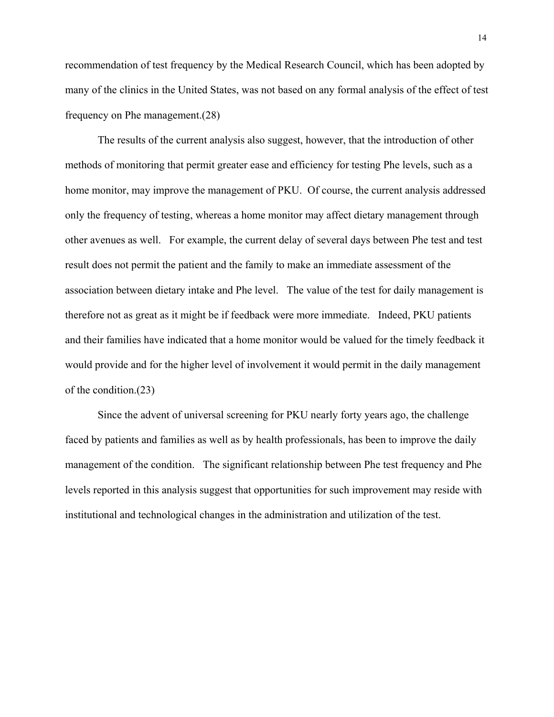recommendation of test frequency by the Medical Research Council, which has been adopted by many of the clinics in the United States, was not based on any formal analysis of the effect of test frequency on Phe management.(28)

The results of the current analysis also suggest, however, that the introduction of other methods of monitoring that permit greater ease and efficiency for testing Phe levels, such as a home monitor, may improve the management of PKU. Of course, the current analysis addressed only the frequency of testing, whereas a home monitor may affect dietary management through other avenues as well. For example, the current delay of several days between Phe test and test result does not permit the patient and the family to make an immediate assessment of the association between dietary intake and Phe level. The value of the test for daily management is therefore not as great as it might be if feedback were more immediate. Indeed, PKU patients and their families have indicated that a home monitor would be valued for the timely feedback it would provide and for the higher level of involvement it would permit in the daily management of the condition.(23)

Since the advent of universal screening for PKU nearly forty years ago, the challenge faced by patients and families as well as by health professionals, has been to improve the daily management of the condition. The significant relationship between Phe test frequency and Phe levels reported in this analysis suggest that opportunities for such improvement may reside with institutional and technological changes in the administration and utilization of the test.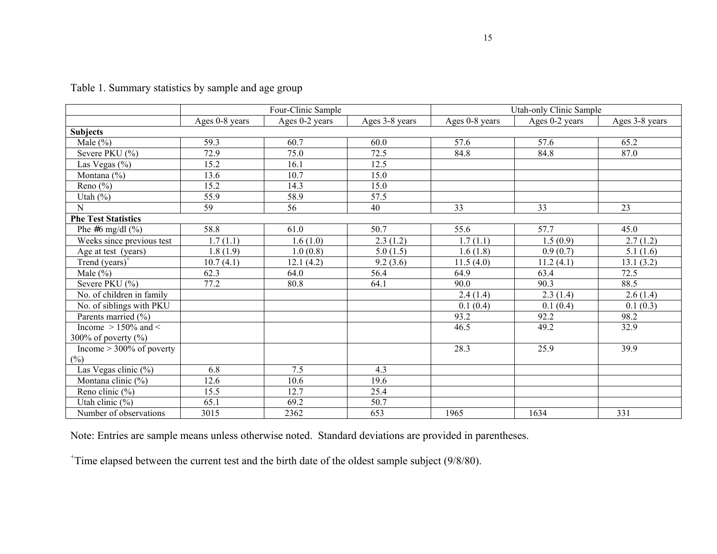|                             |                | Four-Clinic Sample |                | Utah-only Clinic Sample |                |                |  |  |  |
|-----------------------------|----------------|--------------------|----------------|-------------------------|----------------|----------------|--|--|--|
|                             | Ages 0-8 years | Ages 0-2 years     | Ages 3-8 years | Ages 0-8 years          | Ages 0-2 years | Ages 3-8 years |  |  |  |
| <b>Subjects</b>             |                |                    |                |                         |                |                |  |  |  |
| Male $(\% )$                | 59.3           | 60.7               | 60.0           | 57.6                    | 57.6           | 65.2           |  |  |  |
| Severe PKU (%)              | 72.9           | $\overline{75.0}$  | 72.5           | 84.8                    | 84.8           | 87.0           |  |  |  |
| Las Vegas $(\% )$           | 15.2           | 16.1               | 12.5           |                         |                |                |  |  |  |
| Montana $(\% )$             | 13.6           | 10.7               | 15.0           |                         |                |                |  |  |  |
| Reno $(\% )$                | 15.2           | 14.3               | 15.0           |                         |                |                |  |  |  |
| Utah $(\%)$                 | 55.9           | 58.9               | 57.5           |                         |                |                |  |  |  |
| N                           | 59             | 56                 | 40             | 33                      | 33             | 23             |  |  |  |
| <b>Phe Test Statistics</b>  |                |                    |                |                         |                |                |  |  |  |
| Phe #6 mg/dl $(\%$ )        | 58.8           | 61.0               | 50.7           | 55.6                    | 57.7           | 45.0           |  |  |  |
| Weeks since previous test   | 1.7(1.1)       | 1.6(1.0)           | 2.3(1.2)       | 1.7(1.1)                | 1.5(0.9)       | 2.7(1.2)       |  |  |  |
| Age at test (years)         | 1.8(1.9)       | 1.0(0.8)           | 5.0(1.5)       | 1.6(1.8)                | 0.9(0.7)       | 5.1(1.6)       |  |  |  |
| Trend $(years)^+$           | 10.7(4.1)      | 12.1(4.2)          | 9.2(3.6)       | 11.5(4.0)               | 11.2(4.1)      | 13.1(3.2)      |  |  |  |
| Male $(\% )$                | 62.3           | 64.0               | 56.4           | 64.9                    | 63.4           | 72.5           |  |  |  |
| Severe PKU (%)              | 77.2           | 80.8               | 64.1           | 90.0                    | 90.3           | 88.5           |  |  |  |
| No. of children in family   |                |                    |                | 2.4(1.4)                | 2.3(1.4)       | 2.6(1.4)       |  |  |  |
| No. of siblings with PKU    |                |                    |                | 0.1(0.4)                | 0.1(0.4)       | 0.1(0.3)       |  |  |  |
| Parents married (%)         |                |                    |                | 93.2                    | 92.2           | 98.2           |  |  |  |
| Income $> 150\%$ and $<$    |                |                    |                | 46.5                    | 49.2           | 32.9           |  |  |  |
| 300% of poverty $(\%$ )     |                |                    |                |                         |                |                |  |  |  |
| Income $> 300\%$ of poverty |                |                    |                | 28.3                    | 25.9           | 39.9           |  |  |  |
| $(\%)$                      |                |                    |                |                         |                |                |  |  |  |
| Las Vegas clinic (%)        | 6.8            | 7.5                | 4.3            |                         |                |                |  |  |  |
| Montana clinic (%)          | 12.6           | 10.6               | 19.6           |                         |                |                |  |  |  |
| Reno clinic $(\%)$          | 15.5           | 12.7               | 25.4           |                         |                |                |  |  |  |
| Utah clinic $(\% )$         | 65.1           | 69.2               | 50.7           |                         |                |                |  |  |  |
| Number of observations      | 3015           | 2362               | 653            | 1965                    | 1634           | 331            |  |  |  |

Table 1. Summary statistics by sample and age group

Note: Entries are sample means unless otherwise noted. Standard deviations are provided in parentheses.

+Time elapsed between the current test and the birth date of the oldest sample subject (9/8/80).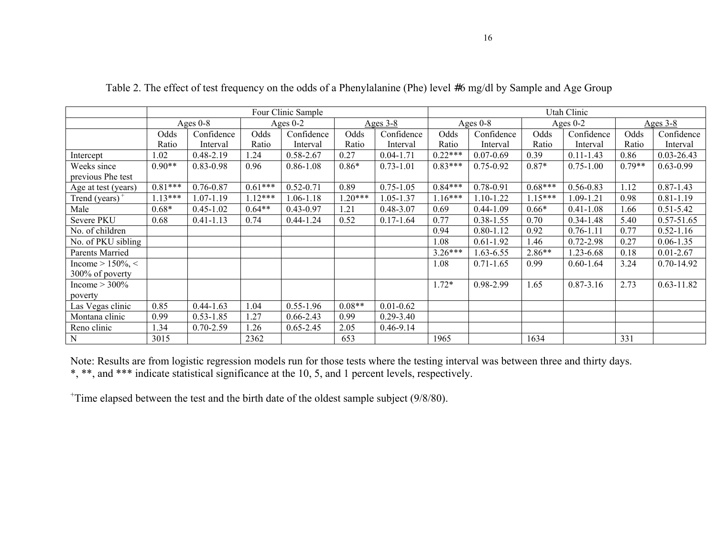|                     | Four Clinic Sample |               |            |               |            | Utah Clinic   |            |               |            |               |            |                |
|---------------------|--------------------|---------------|------------|---------------|------------|---------------|------------|---------------|------------|---------------|------------|----------------|
|                     | Ages $0-8$         |               | Ages $0-2$ |               | Ages $3-8$ |               | Ages $0-8$ |               | Ages $0-2$ |               | Ages $3-8$ |                |
|                     | Odds               | Confidence    | Odds       | Confidence    | Odds       | Confidence    | Odds       | Confidence    | Odds       | Confidence    | Odds       | Confidence     |
|                     | Ratio              | Interval      | Ratio      | Interval      | Ratio      | Interval      | Ratio      | Interval      | Ratio      | Interval      | Ratio      | Interval       |
| Intercept           | 1.02               | $0.48 - 2.19$ | 24         | $0.58 - 2.67$ | 0.27       | $0.04 - 1.71$ | $0.22***$  | $0.07 - 0.69$ | 0.39       | $0.11 - 1.43$ | 0.86       | 0.03-26.43     |
| Weeks since         | $0.90**$           | $0.83 - 0.98$ | 0.96       | $0.86 - 1.08$ | $0.86*$    | $0.73 - 1.01$ | $0.83***$  | $0.75 - 0.92$ | $0.87*$    | $0.75 - 1.00$ | $0.79**$   | $0.63 - 0.99$  |
| previous Phe test   |                    |               |            |               |            |               |            |               |            |               |            |                |
| Age at test (years) | $0.81***$          | $0.76 - 0.87$ | $0.61***$  | $0.52 - 0.71$ | 0.89       | $0.75 - 1.05$ | $0.84***$  | $0.78 - 0.91$ | $0.68***$  | $0.56 - 0.83$ | 1.12       | $0.87 - 1.43$  |
| Trend $(years)^+$   | $1.13***$          | 1.07-1.19     | $1.12***$  | 1.06-1.18     | $1.20***$  | 1.05-1.37     | $1.16***$  | 1.10-1.22     | $1.15***$  | 1.09-1.21     | 0.98       | $0.81 - 1.19$  |
| Male                | $0.68*$            | $0.45 - 1.02$ | $0.64**$   | $0.43 - 0.97$ | 1.21       | $0.48 - 3.07$ | 0.69       | $0.44 - 1.09$ | $0.66*$    | $0.41 - 1.08$ | 1.66       | $0.51 - 5.42$  |
| Severe PKU          | 0.68               | $0.41 - 1.13$ | 0.74       | $0.44 - 1.24$ | 0.52       | $0.17 - 1.64$ | 0.77       | $0.38 - 1.55$ | 0.70       | $0.34 - 1.48$ | 5.40       | $0.57 - 51.65$ |
| No. of children     |                    |               |            |               |            |               | 0.94       | $0.80 - 1.12$ | 0.92       | $0.76 - 1.11$ | 0.77       | $0.52 - 1.16$  |
| No. of PKU sibling  |                    |               |            |               |            |               | 1.08       | $0.61 - 1.92$ | 1.46       | $0.72 - 2.98$ | 0.27       | $0.06 - 1.35$  |
| Parents Married     |                    |               |            |               |            |               | $3.26***$  | $1.63 - 6.55$ | $2.86**$   | 1.23-6.68     | 0.18       | $0.01 - 2.67$  |
| Income $> 150\% <$  |                    |               |            |               |            |               | 1.08       | $0.71 - 1.65$ | 0.99       | $0.60 - 1.64$ | 3.24       | $0.70 - 14.92$ |
| 300% of poverty     |                    |               |            |               |            |               |            |               |            |               |            |                |
| Income $> 300\%$    |                    |               |            |               |            |               | $1.72*$    | 0.98-2.99     | 1.65       | $0.87 - 3.16$ | 2.73       | $0.63 - 11.82$ |
| poverty             |                    |               |            |               |            |               |            |               |            |               |            |                |
| Las Vegas clinic    | 0.85               | $0.44 - 1.63$ | 1.04       | $0.55 - 1.96$ | $0.08**$   | $0.01 - 0.62$ |            |               |            |               |            |                |
| Montana clinic      | 0.99               | $0.53 - 1.85$ | 1.27       | $0.66 - 2.43$ | 0.99       | $0.29 - 3.40$ |            |               |            |               |            |                |
| Reno clinic         | 1.34               | $0.70 - 2.59$ | 1.26       | $0.65 - 2.45$ | 2.05       | $0.46 - 9.14$ |            |               |            |               |            |                |
| ${\bf N}$           | 3015               |               | 2362       |               | 653        |               | 1965       |               | 1634       |               | 331        |                |

Table 2. The effect of test frequency on the odds of a Phenylalanine (Phe) level #6 mg/dl by Sample and Age Group

Note: Results are from logistic regression models run for those tests where the testing interval was between three and thirty days. \*, \*\*, and \*\*\* indicate statistical significance at the 10, 5, and 1 percent levels, respectively.

+Time elapsed between the test and the birth date of the oldest sample subject (9/8/80).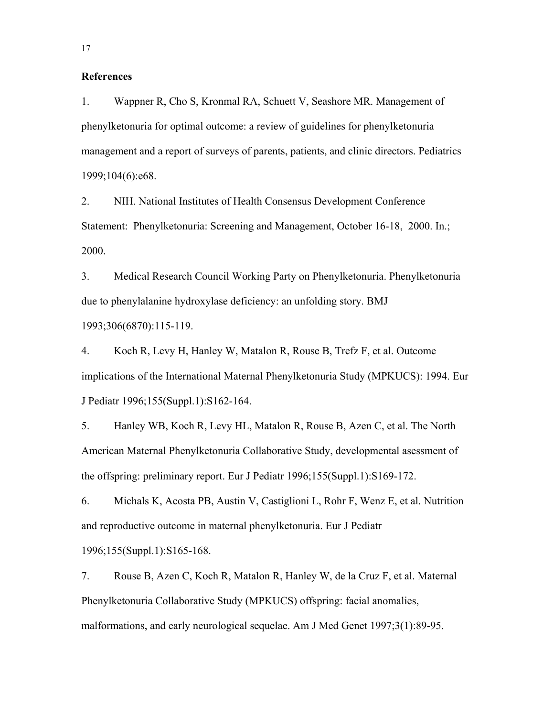#### **References**

1. Wappner R, Cho S, Kronmal RA, Schuett V, Seashore MR. Management of phenylketonuria for optimal outcome: a review of guidelines for phenylketonuria management and a report of surveys of parents, patients, and clinic directors. Pediatrics 1999;104(6):e68.

2. NIH. National Institutes of Health Consensus Development Conference Statement: Phenylketonuria: Screening and Management, October 16-18, 2000. In.; 2000.

3. Medical Research Council Working Party on Phenylketonuria. Phenylketonuria due to phenylalanine hydroxylase deficiency: an unfolding story. BMJ 1993;306(6870):115-119.

4. Koch R, Levy H, Hanley W, Matalon R, Rouse B, Trefz F, et al. Outcome implications of the International Maternal Phenylketonuria Study (MPKUCS): 1994. Eur J Pediatr 1996;155(Suppl.1):S162-164.

5. Hanley WB, Koch R, Levy HL, Matalon R, Rouse B, Azen C, et al. The North American Maternal Phenylketonuria Collaborative Study, developmental asessment of the offspring: preliminary report. Eur J Pediatr 1996;155(Suppl.1):S169-172.

6. Michals K, Acosta PB, Austin V, Castiglioni L, Rohr F, Wenz E, et al. Nutrition and reproductive outcome in maternal phenylketonuria. Eur J Pediatr 1996;155(Suppl.1):S165-168.

7. Rouse B, Azen C, Koch R, Matalon R, Hanley W, de la Cruz F, et al. Maternal Phenylketonuria Collaborative Study (MPKUCS) offspring: facial anomalies, malformations, and early neurological sequelae. Am J Med Genet 1997;3(1):89-95.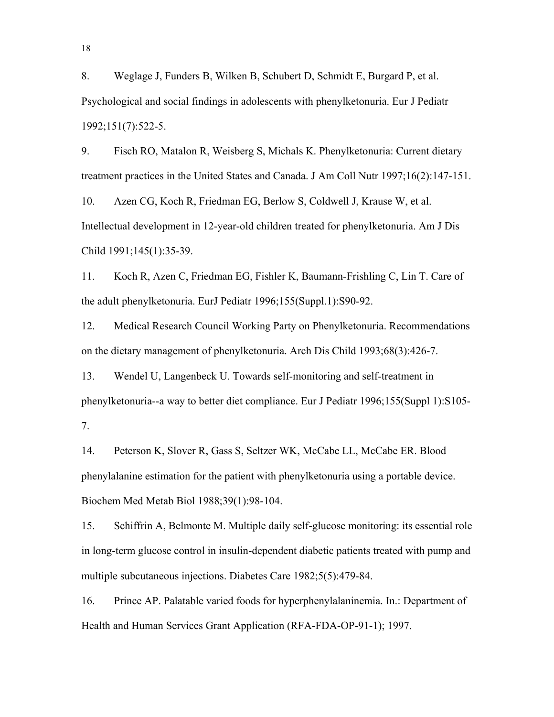8. Weglage J, Funders B, Wilken B, Schubert D, Schmidt E, Burgard P, et al. Psychological and social findings in adolescents with phenylketonuria. Eur J Pediatr 1992;151(7):522-5.

9. Fisch RO, Matalon R, Weisberg S, Michals K. Phenylketonuria: Current dietary treatment practices in the United States and Canada. J Am Coll Nutr 1997;16(2):147-151.

10. Azen CG, Koch R, Friedman EG, Berlow S, Coldwell J, Krause W, et al. Intellectual development in 12-year-old children treated for phenylketonuria. Am J Dis Child 1991;145(1):35-39.

11. Koch R, Azen C, Friedman EG, Fishler K, Baumann-Frishling C, Lin T. Care of the adult phenylketonuria. EurJ Pediatr 1996;155(Suppl.1):S90-92.

12. Medical Research Council Working Party on Phenylketonuria. Recommendations on the dietary management of phenylketonuria. Arch Dis Child 1993;68(3):426-7.

13. Wendel U, Langenbeck U. Towards self-monitoring and self-treatment in phenylketonuria--a way to better diet compliance. Eur J Pediatr 1996;155(Suppl 1):S105- 7.

14. Peterson K, Slover R, Gass S, Seltzer WK, McCabe LL, McCabe ER. Blood phenylalanine estimation for the patient with phenylketonuria using a portable device. Biochem Med Metab Biol 1988;39(1):98-104.

15. Schiffrin A, Belmonte M. Multiple daily self-glucose monitoring: its essential role in long-term glucose control in insulin-dependent diabetic patients treated with pump and multiple subcutaneous injections. Diabetes Care 1982;5(5):479-84.

16. Prince AP. Palatable varied foods for hyperphenylalaninemia. In.: Department of Health and Human Services Grant Application (RFA-FDA-OP-91-1); 1997.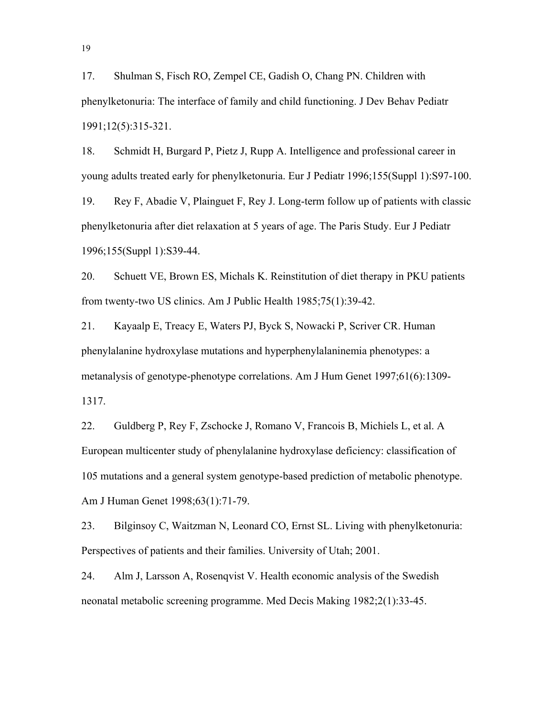17. Shulman S, Fisch RO, Zempel CE, Gadish O, Chang PN. Children with phenylketonuria: The interface of family and child functioning. J Dev Behav Pediatr 1991;12(5):315-321.

18. Schmidt H, Burgard P, Pietz J, Rupp A. Intelligence and professional career in young adults treated early for phenylketonuria. Eur J Pediatr 1996;155(Suppl 1):S97-100.

19. Rey F, Abadie V, Plainguet F, Rey J. Long-term follow up of patients with classic phenylketonuria after diet relaxation at 5 years of age. The Paris Study. Eur J Pediatr 1996;155(Suppl 1):S39-44.

20. Schuett VE, Brown ES, Michals K. Reinstitution of diet therapy in PKU patients from twenty-two US clinics. Am J Public Health 1985;75(1):39-42.

21. Kayaalp E, Treacy E, Waters PJ, Byck S, Nowacki P, Scriver CR. Human phenylalanine hydroxylase mutations and hyperphenylalaninemia phenotypes: a metanalysis of genotype-phenotype correlations. Am J Hum Genet 1997;61(6):1309- 1317.

22. Guldberg P, Rey F, Zschocke J, Romano V, Francois B, Michiels L, et al. A European multicenter study of phenylalanine hydroxylase deficiency: classification of 105 mutations and a general system genotype-based prediction of metabolic phenotype. Am J Human Genet 1998;63(1):71-79.

23. Bilginsoy C, Waitzman N, Leonard CO, Ernst SL. Living with phenylketonuria: Perspectives of patients and their families. University of Utah; 2001.

24. Alm J, Larsson A, Rosenqvist V. Health economic analysis of the Swedish neonatal metabolic screening programme. Med Decis Making 1982;2(1):33-45.